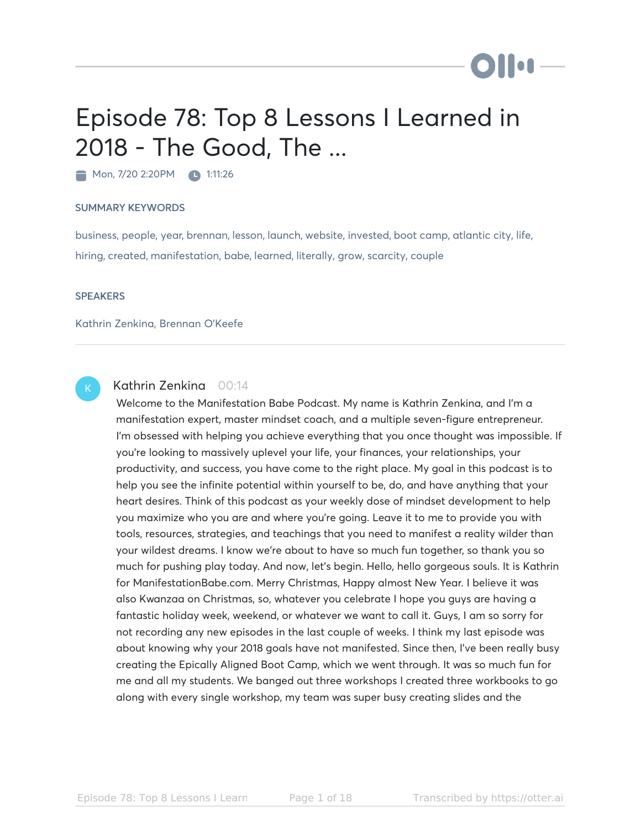# Episode 78: Top 8 Lessons I Learned in 2018 - The Good, The ...

Mon, 7/20 2:20PM 1:11:26

### SUMMARY KEYWORDS

business, people, year, brennan, lesson, launch, website, invested, boot camp, atlantic city, life, hiring, created, manifestation, babe, learned, literally, grow, scarcity, couple

# **SPEAKERS**

Kathrin Zenkina, Brennan O'Keefe



# Kathrin Zenkina 00:14

Welcome to the Manifestation Babe Podcast. My name is Kathrin Zenkina, and I'm a manifestation expert, master mindset coach, and a multiple seven-figure entrepreneur. I'm obsessed with helping you achieve everything that you once thought was impossible. If you're looking to massively uplevel your life, your finances, your relationships, your productivity, and success, you have come to the right place. My goal in this podcast is to help you see the infinite potential within yourself to be, do, and have anything that your heart desires. Think of this podcast as your weekly dose of mindset development to help you maximize who you are and where you're going. Leave it to me to provide you with tools, resources, strategies, and teachings that you need to manifest a reality wilder than your wildest dreams. I know we're about to have so much fun together, so thank you so much for pushing play today. And now, let's begin. Hello, hello gorgeous souls. It is Kathrin for ManifestationBabe.com. Merry Christmas, Happy almost New Year. I believe it was also Kwanzaa on Christmas, so, whatever you celebrate I hope you guys are having a fantastic holiday week, weekend, or whatever we want to call it. Guys, I am so sorry for not recording any new episodes in the last couple of weeks. I think my last episode was about knowing why your 2018 goals have not manifested. Since then, I've been really busy creating the Epically Aligned Boot Camp, which we went through. It was so much fun for me and all my students. We banged out three workshops I created three workbooks to go along with every single workshop, my team was super busy creating slides and the

**Dillet**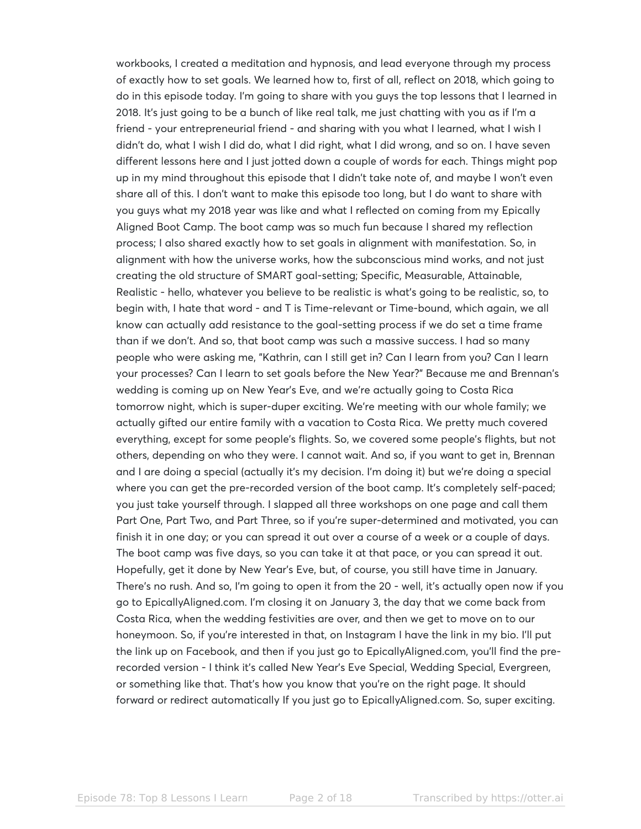workbooks, I created a meditation and hypnosis, and lead everyone through my process of exactly how to set goals. We learned how to, first of all, reflect on 2018, which going to do in this episode today. I'm going to share with you guys the top lessons that I learned in 2018. It's just going to be a bunch of like real talk, me just chatting with you as if I'm a friend - your entrepreneurial friend - and sharing with you what I learned, what I wish I didn't do, what I wish I did do, what I did right, what I did wrong, and so on. I have seven different lessons here and I just jotted down a couple of words for each. Things might pop up in my mind throughout this episode that I didn't take note of, and maybe I won't even share all of this. I don't want to make this episode too long, but I do want to share with you guys what my 2018 year was like and what I reflected on coming from my Epically Aligned Boot Camp. The boot camp was so much fun because I shared my reflection process; I also shared exactly how to set goals in alignment with manifestation. So, in alignment with how the universe works, how the subconscious mind works, and not just creating the old structure of SMART goal-setting; Specific, Measurable, Attainable, Realistic - hello, whatever you believe to be realistic is what's going to be realistic, so, to begin with, I hate that word - and T is Time-relevant or Time-bound, which again, we all know can actually add resistance to the goal-setting process if we do set a time frame than if we don't. And so, that boot camp was such a massive success. I had so many people who were asking me, "Kathrin, can I still get in? Can I learn from you? Can I learn your processes? Can I learn to set goals before the New Year?" Because me and Brennan's wedding is coming up on New Year's Eve, and we're actually going to Costa Rica tomorrow night, which is super-duper exciting. We're meeting with our whole family; we actually gifted our entire family with a vacation to Costa Rica. We pretty much covered everything, except for some people's flights. So, we covered some people's flights, but not others, depending on who they were. I cannot wait. And so, if you want to get in, Brennan and I are doing a special (actually it's my decision. I'm doing it) but we're doing a special where you can get the pre-recorded version of the boot camp. It's completely self-paced; you just take yourself through. I slapped all three workshops on one page and call them Part One, Part Two, and Part Three, so if you're super-determined and motivated, you can finish it in one day; or you can spread it out over a course of a week or a couple of days. The boot camp was five days, so you can take it at that pace, or you can spread it out. Hopefully, get it done by New Year's Eve, but, of course, you still have time in January. There's no rush. And so, I'm going to open it from the 20 - well, it's actually open now if you go to EpicallyAligned.com. I'm closing it on January 3, the day that we come back from Costa Rica, when the wedding festivities are over, and then we get to move on to our honeymoon. So, if you're interested in that, on Instagram I have the link in my bio. I'll put the link up on Facebook, and then if you just go to EpicallyAligned.com, you'll find the prerecorded version - I think it's called New Year's Eve Special, Wedding Special, Evergreen, or something like that. That's how you know that you're on the right page. It should forward or redirect automatically If you just go to EpicallyAligned.com. So, super exciting.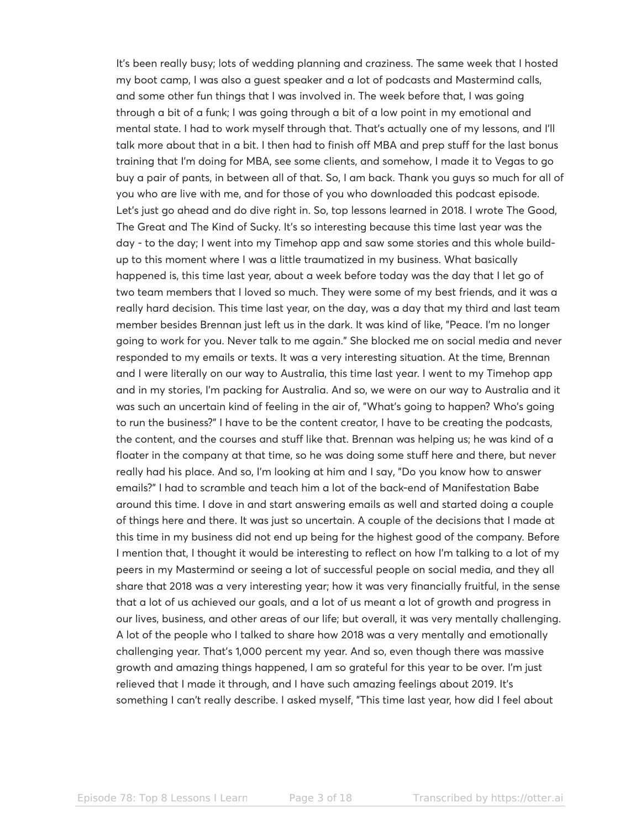It's been really busy; lots of wedding planning and craziness. The same week that I hosted my boot camp, I was also a guest speaker and a lot of podcasts and Mastermind calls, and some other fun things that I was involved in. The week before that, I was going through a bit of a funk; I was going through a bit of a low point in my emotional and mental state. I had to work myself through that. That's actually one of my lessons, and I'll talk more about that in a bit. I then had to finish off MBA and prep stuff for the last bonus training that I'm doing for MBA, see some clients, and somehow, I made it to Vegas to go buy a pair of pants, in between all of that. So, I am back. Thank you guys so much for all of you who are live with me, and for those of you who downloaded this podcast episode. Let's just go ahead and do dive right in. So, top lessons learned in 2018. I wrote The Good, The Great and The Kind of Sucky. It's so interesting because this time last year was the day - to the day; I went into my Timehop app and saw some stories and this whole buildup to this moment where I was a little traumatized in my business. What basically happened is, this time last year, about a week before today was the day that I let go of two team members that I loved so much. They were some of my best friends, and it was a really hard decision. This time last year, on the day, was a day that my third and last team member besides Brennan just left us in the dark. It was kind of like, "Peace. I'm no longer going to work for you. Never talk to me again." She blocked me on social media and never responded to my emails or texts. It was a very interesting situation. At the time, Brennan and I were literally on our way to Australia, this time last year. I went to my Timehop app and in my stories, I'm packing for Australia. And so, we were on our way to Australia and it was such an uncertain kind of feeling in the air of, "What's going to happen? Who's going to run the business?" I have to be the content creator, I have to be creating the podcasts, the content, and the courses and stuff like that. Brennan was helping us; he was kind of a floater in the company at that time, so he was doing some stuff here and there, but never really had his place. And so, I'm looking at him and I say, "Do you know how to answer emails?" I had to scramble and teach him a lot of the back-end of Manifestation Babe around this time. I dove in and start answering emails as well and started doing a couple of things here and there. It was just so uncertain. A couple of the decisions that I made at this time in my business did not end up being for the highest good of the company. Before I mention that, I thought it would be interesting to reflect on how I'm talking to a lot of my peers in my Mastermind or seeing a lot of successful people on social media, and they all share that 2018 was a very interesting year; how it was very financially fruitful, in the sense that a lot of us achieved our goals, and a lot of us meant a lot of growth and progress in our lives, business, and other areas of our life; but overall, it was very mentally challenging. A lot of the people who I talked to share how 2018 was a very mentally and emotionally challenging year. That's 1,000 percent my year. And so, even though there was massive growth and amazing things happened, I am so grateful for this year to be over. I'm just relieved that I made it through, and I have such amazing feelings about 2019. It's something I can't really describe. I asked myself, "This time last year, how did I feel about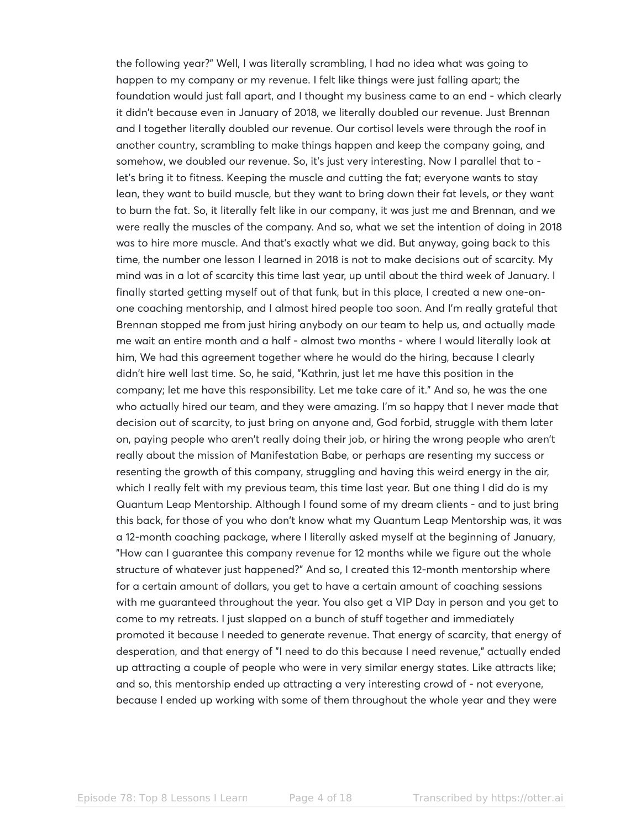the following year?" Well, I was literally scrambling, I had no idea what was going to happen to my company or my revenue. I felt like things were just falling apart; the foundation would just fall apart, and I thought my business came to an end - which clearly it didn't because even in January of 2018, we literally doubled our revenue. Just Brennan and I together literally doubled our revenue. Our cortisol levels were through the roof in another country, scrambling to make things happen and keep the company going, and somehow, we doubled our revenue. So, it's just very interesting. Now I parallel that to let's bring it to fitness. Keeping the muscle and cutting the fat; everyone wants to stay lean, they want to build muscle, but they want to bring down their fat levels, or they want to burn the fat. So, it literally felt like in our company, it was just me and Brennan, and we were really the muscles of the company. And so, what we set the intention of doing in 2018 was to hire more muscle. And that's exactly what we did. But anyway, going back to this time, the number one lesson I learned in 2018 is not to make decisions out of scarcity. My mind was in a lot of scarcity this time last year, up until about the third week of January. I finally started getting myself out of that funk, but in this place, I created a new one-onone coaching mentorship, and I almost hired people too soon. And I'm really grateful that Brennan stopped me from just hiring anybody on our team to help us, and actually made me wait an entire month and a half - almost two months - where I would literally look at him, We had this agreement together where he would do the hiring, because I clearly didn't hire well last time. So, he said, "Kathrin, just let me have this position in the company; let me have this responsibility. Let me take care of it." And so, he was the one who actually hired our team, and they were amazing. I'm so happy that I never made that decision out of scarcity, to just bring on anyone and, God forbid, struggle with them later on, paying people who aren't really doing their job, or hiring the wrong people who aren't really about the mission of Manifestation Babe, or perhaps are resenting my success or resenting the growth of this company, struggling and having this weird energy in the air, which I really felt with my previous team, this time last year. But one thing I did do is my Quantum Leap Mentorship. Although I found some of my dream clients - and to just bring this back, for those of you who don't know what my Quantum Leap Mentorship was, it was a 12-month coaching package, where I literally asked myself at the beginning of January, "How can I guarantee this company revenue for 12 months while we figure out the whole structure of whatever just happened?" And so, I created this 12-month mentorship where for a certain amount of dollars, you get to have a certain amount of coaching sessions with me guaranteed throughout the year. You also get a VIP Day in person and you get to come to my retreats. I just slapped on a bunch of stuff together and immediately promoted it because I needed to generate revenue. That energy of scarcity, that energy of desperation, and that energy of "I need to do this because I need revenue," actually ended up attracting a couple of people who were in very similar energy states. Like attracts like; and so, this mentorship ended up attracting a very interesting crowd of - not everyone, because I ended up working with some of them throughout the whole year and they were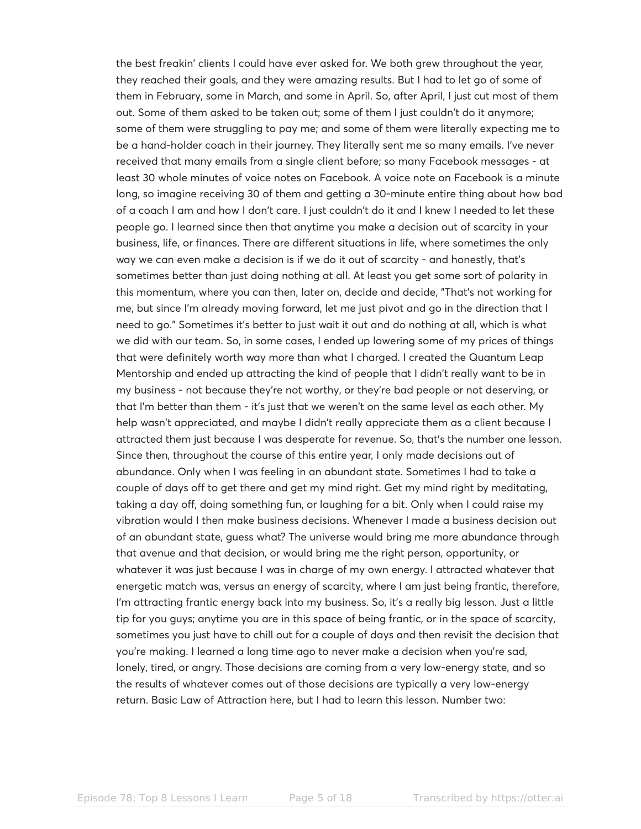the best freakin' clients I could have ever asked for. We both grew throughout the year, they reached their goals, and they were amazing results. But I had to let go of some of them in February, some in March, and some in April. So, after April, I just cut most of them out. Some of them asked to be taken out; some of them I just couldn't do it anymore; some of them were struggling to pay me; and some of them were literally expecting me to be a hand-holder coach in their journey. They literally sent me so many emails. I've never received that many emails from a single client before; so many Facebook messages - at least 30 whole minutes of voice notes on Facebook. A voice note on Facebook is a minute long, so imagine receiving 30 of them and getting a 30-minute entire thing about how bad of a coach I am and how I don't care. I just couldn't do it and I knew I needed to let these people go. I learned since then that anytime you make a decision out of scarcity in your business, life, or finances. There are different situations in life, where sometimes the only way we can even make a decision is if we do it out of scarcity - and honestly, that's sometimes better than just doing nothing at all. At least you get some sort of polarity in this momentum, where you can then, later on, decide and decide, "That's not working for me, but since I'm already moving forward, let me just pivot and go in the direction that I need to go." Sometimes it's better to just wait it out and do nothing at all, which is what we did with our team. So, in some cases, I ended up lowering some of my prices of things that were definitely worth way more than what I charged. I created the Quantum Leap Mentorship and ended up attracting the kind of people that I didn't really want to be in my business - not because they're not worthy, or they're bad people or not deserving, or that I'm better than them - it's just that we weren't on the same level as each other. My help wasn't appreciated, and maybe I didn't really appreciate them as a client because I attracted them just because I was desperate for revenue. So, that's the number one lesson. Since then, throughout the course of this entire year, I only made decisions out of abundance. Only when I was feeling in an abundant state. Sometimes I had to take a couple of days off to get there and get my mind right. Get my mind right by meditating, taking a day off, doing something fun, or laughing for a bit. Only when I could raise my vibration would I then make business decisions. Whenever I made a business decision out of an abundant state, guess what? The universe would bring me more abundance through that avenue and that decision, or would bring me the right person, opportunity, or whatever it was just because I was in charge of my own energy. I attracted whatever that energetic match was, versus an energy of scarcity, where I am just being frantic, therefore, I'm attracting frantic energy back into my business. So, it's a really big lesson. Just a little tip for you guys; anytime you are in this space of being frantic, or in the space of scarcity, sometimes you just have to chill out for a couple of days and then revisit the decision that you're making. I learned a long time ago to never make a decision when you're sad, lonely, tired, or angry. Those decisions are coming from a very low-energy state, and so the results of whatever comes out of those decisions are typically a very low-energy return. Basic Law of Attraction here, but I had to learn this lesson. Number two: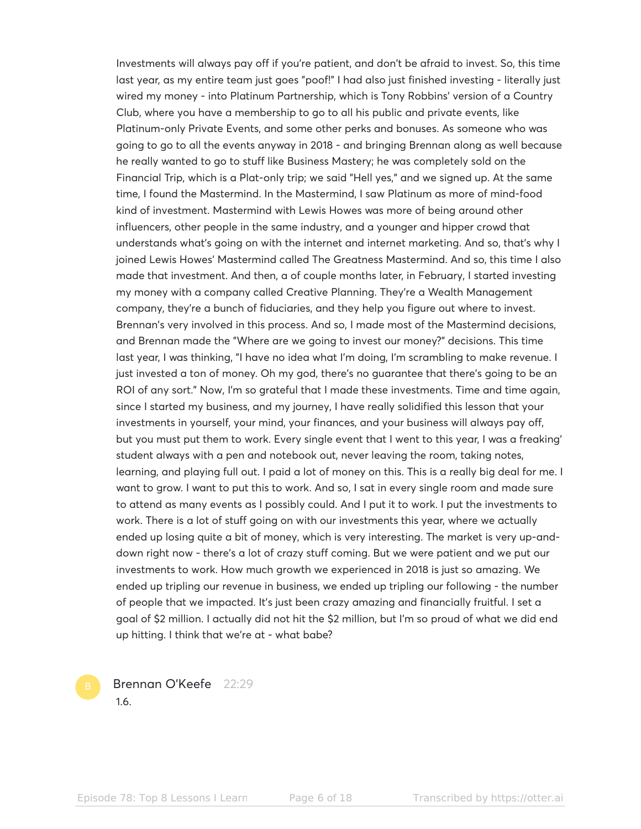Investments will always pay off if you're patient, and don't be afraid to invest. So, this time last year, as my entire team just goes "poof!" I had also just finished investing - literally just wired my money - into Platinum Partnership, which is Tony Robbins' version of a Country Club, where you have a membership to go to all his public and private events, like Platinum-only Private Events, and some other perks and bonuses. As someone who was going to go to all the events anyway in 2018 - and bringing Brennan along as well because he really wanted to go to stuff like Business Mastery; he was completely sold on the Financial Trip, which is a Plat-only trip; we said "Hell yes," and we signed up. At the same time, I found the Mastermind. In the Mastermind, I saw Platinum as more of mind-food kind of investment. Mastermind with Lewis Howes was more of being around other influencers, other people in the same industry, and a younger and hipper crowd that understands what's going on with the internet and internet marketing. And so, that's why I joined Lewis Howes' Mastermind called The Greatness Mastermind. And so, this time I also made that investment. And then, a of couple months later, in February, I started investing my money with a company called Creative Planning. They're a Wealth Management company, they're a bunch of fiduciaries, and they help you figure out where to invest. Brennan's very involved in this process. And so, I made most of the Mastermind decisions, and Brennan made the "Where are we going to invest our money?" decisions. This time last year, I was thinking, "I have no idea what I'm doing, I'm scrambling to make revenue. I just invested a ton of money. Oh my god, there's no guarantee that there's going to be an ROI of any sort." Now, I'm so grateful that I made these investments. Time and time again, since I started my business, and my journey, I have really solidified this lesson that your investments in yourself, your mind, your finances, and your business will always pay off, but you must put them to work. Every single event that I went to this year, I was a freaking' student always with a pen and notebook out, never leaving the room, taking notes, learning, and playing full out. I paid a lot of money on this. This is a really big deal for me. I want to grow. I want to put this to work. And so, I sat in every single room and made sure to attend as many events as I possibly could. And I put it to work. I put the investments to work. There is a lot of stuff going on with our investments this year, where we actually ended up losing quite a bit of money, which is very interesting. The market is very up-anddown right now - there's a lot of crazy stuff coming. But we were patient and we put our investments to work. How much growth we experienced in 2018 is just so amazing. We ended up tripling our revenue in business, we ended up tripling our following - the number of people that we impacted. It's just been crazy amazing and financially fruitful. I set a goal of \$2 million. I actually did not hit the \$2 million, but I'm so proud of what we did end up hitting. I think that we're at - what babe?

Brennan O'Keefe 22:29 1.6.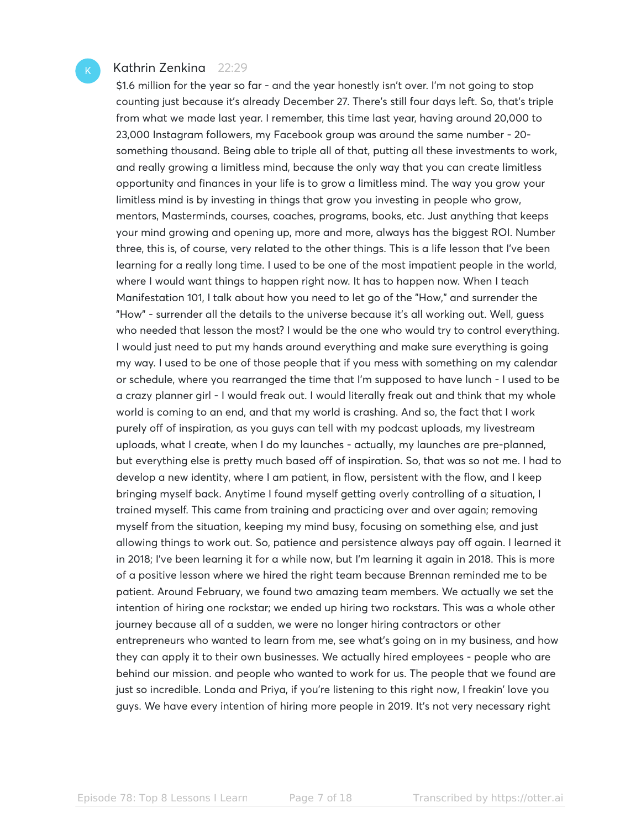# Kathrin Zenkina 22:29

\$1.6 million for the year so far - and the year honestly isn't over. I'm not going to stop counting just because it's already December 27. There's still four days left. So, that's triple from what we made last year. I remember, this time last year, having around 20,000 to 23,000 Instagram followers, my Facebook group was around the same number - 20 something thousand. Being able to triple all of that, putting all these investments to work, and really growing a limitless mind, because the only way that you can create limitless opportunity and finances in your life is to grow a limitless mind. The way you grow your limitless mind is by investing in things that grow you investing in people who grow, mentors, Masterminds, courses, coaches, programs, books, etc. Just anything that keeps your mind growing and opening up, more and more, always has the biggest ROI. Number three, this is, of course, very related to the other things. This is a life lesson that I've been learning for a really long time. I used to be one of the most impatient people in the world, where I would want things to happen right now. It has to happen now. When I teach Manifestation 101, I talk about how you need to let go of the "How," and surrender the "How" - surrender all the details to the universe because it's all working out. Well, guess who needed that lesson the most? I would be the one who would try to control everything. I would just need to put my hands around everything and make sure everything is going my way. I used to be one of those people that if you mess with something on my calendar or schedule, where you rearranged the time that I'm supposed to have lunch - I used to be a crazy planner girl - I would freak out. I would literally freak out and think that my whole world is coming to an end, and that my world is crashing. And so, the fact that I work purely off of inspiration, as you guys can tell with my podcast uploads, my livestream uploads, what I create, when I do my launches - actually, my launches are pre-planned, but everything else is pretty much based off of inspiration. So, that was so not me. I had to develop a new identity, where I am patient, in flow, persistent with the flow, and I keep bringing myself back. Anytime I found myself getting overly controlling of a situation, I trained myself. This came from training and practicing over and over again; removing myself from the situation, keeping my mind busy, focusing on something else, and just allowing things to work out. So, patience and persistence always pay off again. I learned it in 2018; I've been learning it for a while now, but I'm learning it again in 2018. This is more of a positive lesson where we hired the right team because Brennan reminded me to be patient. Around February, we found two amazing team members. We actually we set the intention of hiring one rockstar; we ended up hiring two rockstars. This was a whole other journey because all of a sudden, we were no longer hiring contractors or other entrepreneurs who wanted to learn from me, see what's going on in my business, and how they can apply it to their own businesses. We actually hired employees - people who are behind our mission. and people who wanted to work for us. The people that we found are just so incredible. Londa and Priya, if you're listening to this right now, I freakin' love you guys. We have every intention of hiring more people in 2019. It's not very necessary right

Episode 78: Top 8 Lessons I Learn and 20P1age 7 of 18 Transcribed by https://otter.ai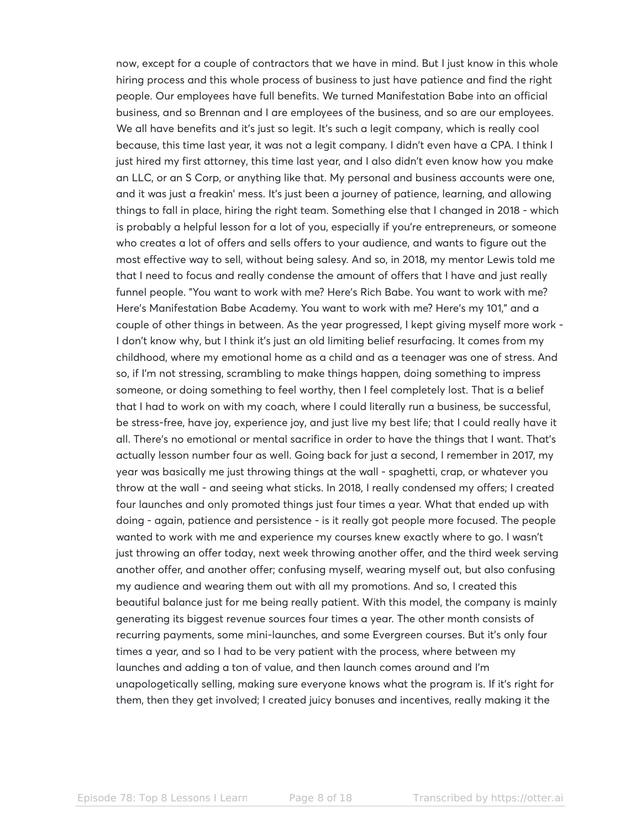now, except for a couple of contractors that we have in mind. But I just know in this whole hiring process and this whole process of business to just have patience and find the right people. Our employees have full benefits. We turned Manifestation Babe into an official business, and so Brennan and I are employees of the business, and so are our employees. We all have benefits and it's just so legit. It's such a legit company, which is really cool because, this time last year, it was not a legit company. I didn't even have a CPA. I think I just hired my first attorney, this time last year, and I also didn't even know how you make an LLC, or an S Corp, or anything like that. My personal and business accounts were one, and it was just a freakin' mess. It's just been a journey of patience, learning, and allowing things to fall in place, hiring the right team. Something else that I changed in 2018 - which is probably a helpful lesson for a lot of you, especially if you're entrepreneurs, or someone who creates a lot of offers and sells offers to your audience, and wants to figure out the most effective way to sell, without being salesy. And so, in 2018, my mentor Lewis told me that I need to focus and really condense the amount of offers that I have and just really funnel people. "You want to work with me? Here's Rich Babe. You want to work with me? Here's Manifestation Babe Academy. You want to work with me? Here's my 101," and a couple of other things in between. As the year progressed, I kept giving myself more work - I don't know why, but I think it's just an old limiting belief resurfacing. It comes from my childhood, where my emotional home as a child and as a teenager was one of stress. And so, if I'm not stressing, scrambling to make things happen, doing something to impress someone, or doing something to feel worthy, then I feel completely lost. That is a belief that I had to work on with my coach, where I could literally run a business, be successful, be stress-free, have joy, experience joy, and just live my best life; that I could really have it all. There's no emotional or mental sacrifice in order to have the things that I want. That's actually lesson number four as well. Going back for just a second, I remember in 2017, my year was basically me just throwing things at the wall - spaghetti, crap, or whatever you throw at the wall - and seeing what sticks. In 2018, I really condensed my offers; I created four launches and only promoted things just four times a year. What that ended up with doing - again, patience and persistence - is it really got people more focused. The people wanted to work with me and experience my courses knew exactly where to go. I wasn't just throwing an offer today, next week throwing another offer, and the third week serving another offer, and another offer; confusing myself, wearing myself out, but also confusing my audience and wearing them out with all my promotions. And so, I created this beautiful balance just for me being really patient. With this model, the company is mainly generating its biggest revenue sources four times a year. The other month consists of recurring payments, some mini-launches, and some Evergreen courses. But it's only four times a year, and so I had to be very patient with the process, where between my launches and adding a ton of value, and then launch comes around and I'm unapologetically selling, making sure everyone knows what the program is. If it's right for them, then they get involved; I created juicy bonuses and incentives, really making it the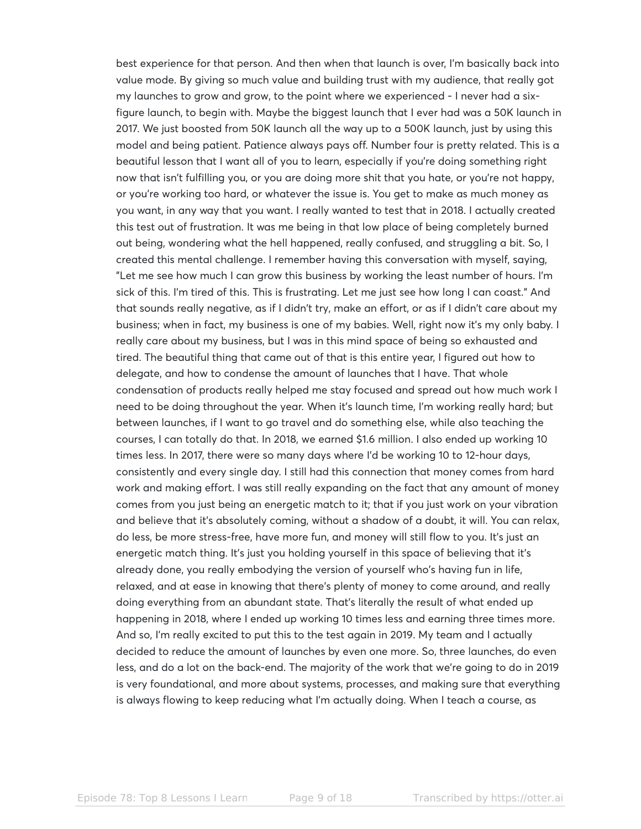best experience for that person. And then when that launch is over, I'm basically back into value mode. By giving so much value and building trust with my audience, that really got my launches to grow and grow, to the point where we experienced - I never had a sixfigure launch, to begin with. Maybe the biggest launch that I ever had was a 50K launch in 2017. We just boosted from 50K launch all the way up to a 500K launch, just by using this model and being patient. Patience always pays off. Number four is pretty related. This is a beautiful lesson that I want all of you to learn, especially if you're doing something right now that isn't fulfilling you, or you are doing more shit that you hate, or you're not happy, or you're working too hard, or whatever the issue is. You get to make as much money as you want, in any way that you want. I really wanted to test that in 2018. I actually created this test out of frustration. It was me being in that low place of being completely burned out being, wondering what the hell happened, really confused, and struggling a bit. So, I created this mental challenge. I remember having this conversation with myself, saying, "Let me see how much I can grow this business by working the least number of hours. I'm sick of this. I'm tired of this. This is frustrating. Let me just see how long I can coast." And that sounds really negative, as if I didn't try, make an effort, or as if I didn't care about my business; when in fact, my business is one of my babies. Well, right now it's my only baby. I really care about my business, but I was in this mind space of being so exhausted and tired. The beautiful thing that came out of that is this entire year, I figured out how to delegate, and how to condense the amount of launches that I have. That whole condensation of products really helped me stay focused and spread out how much work I need to be doing throughout the year. When it's launch time, I'm working really hard; but between launches, if I want to go travel and do something else, while also teaching the courses, I can totally do that. In 2018, we earned \$1.6 million. I also ended up working 10 times less. In 2017, there were so many days where I'd be working 10 to 12-hour days, consistently and every single day. I still had this connection that money comes from hard work and making effort. I was still really expanding on the fact that any amount of money comes from you just being an energetic match to it; that if you just work on your vibration and believe that it's absolutely coming, without a shadow of a doubt, it will. You can relax, do less, be more stress-free, have more fun, and money will still flow to you. It's just an energetic match thing. It's just you holding yourself in this space of believing that it's already done, you really embodying the version of yourself who's having fun in life, relaxed, and at ease in knowing that there's plenty of money to come around, and really doing everything from an abundant state. That's literally the result of what ended up happening in 2018, where I ended up working 10 times less and earning three times more. And so, I'm really excited to put this to the test again in 2019. My team and I actually decided to reduce the amount of launches by even one more. So, three launches, do even less, and do a lot on the back-end. The majority of the work that we're going to do in 2019 is very foundational, and more about systems, processes, and making sure that everything is always flowing to keep reducing what I'm actually doing. When I teach a course, as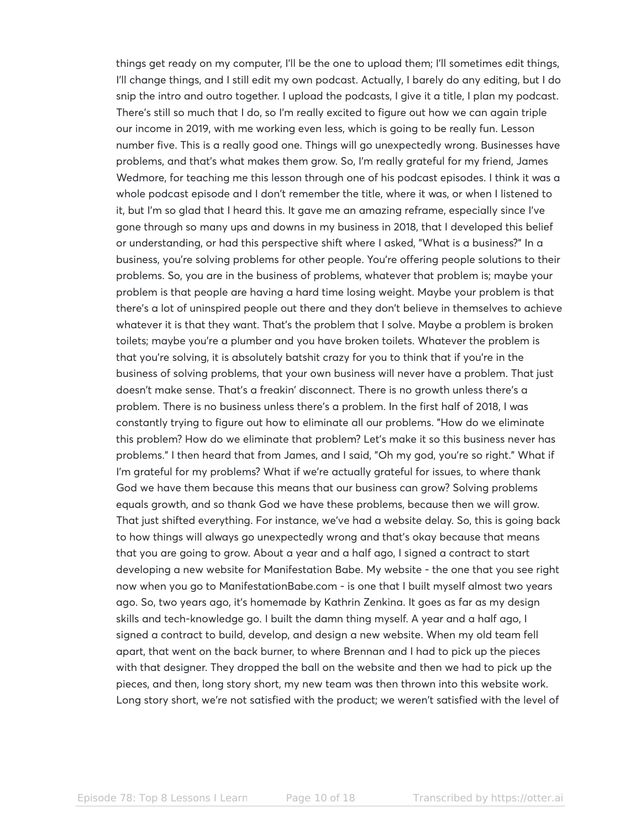things get ready on my computer, I'll be the one to upload them; I'll sometimes edit things, I'll change things, and I still edit my own podcast. Actually, I barely do any editing, but I do snip the intro and outro together. I upload the podcasts, I give it a title, I plan my podcast. There's still so much that I do, so I'm really excited to figure out how we can again triple our income in 2019, with me working even less, which is going to be really fun. Lesson number five. This is a really good one. Things will go unexpectedly wrong. Businesses have problems, and that's what makes them grow. So, I'm really grateful for my friend, James Wedmore, for teaching me this lesson through one of his podcast episodes. I think it was a whole podcast episode and I don't remember the title, where it was, or when I listened to it, but I'm so glad that I heard this. It gave me an amazing reframe, especially since I've gone through so many ups and downs in my business in 2018, that I developed this belief or understanding, or had this perspective shift where I asked, "What is a business?" In a business, you're solving problems for other people. You're offering people solutions to their problems. So, you are in the business of problems, whatever that problem is; maybe your problem is that people are having a hard time losing weight. Maybe your problem is that there's a lot of uninspired people out there and they don't believe in themselves to achieve whatever it is that they want. That's the problem that I solve. Maybe a problem is broken toilets; maybe you're a plumber and you have broken toilets. Whatever the problem is that you're solving, it is absolutely batshit crazy for you to think that if you're in the business of solving problems, that your own business will never have a problem. That just doesn't make sense. That's a freakin' disconnect. There is no growth unless there's a problem. There is no business unless there's a problem. In the first half of 2018, I was constantly trying to figure out how to eliminate all our problems. "How do we eliminate this problem? How do we eliminate that problem? Let's make it so this business never has problems." I then heard that from James, and I said, "Oh my god, you're so right." What if I'm grateful for my problems? What if we're actually grateful for issues, to where thank God we have them because this means that our business can grow? Solving problems equals growth, and so thank God we have these problems, because then we will grow. That just shifted everything. For instance, we've had a website delay. So, this is going back to how things will always go unexpectedly wrong and that's okay because that means that you are going to grow. About a year and a half ago, I signed a contract to start developing a new website for Manifestation Babe. My website - the one that you see right now when you go to ManifestationBabe.com - is one that I built myself almost two years ago. So, two years ago, it's homemade by Kathrin Zenkina. It goes as far as my design skills and tech-knowledge go. I built the damn thing myself. A year and a half ago, I signed a contract to build, develop, and design a new website. When my old team fell apart, that went on the back burner, to where Brennan and I had to pick up the pieces with that designer. They dropped the ball on the website and then we had to pick up the pieces, and then, long story short, my new team was then thrown into this website work. Long story short, we're not satisfied with the product; we weren't satisfied with the level of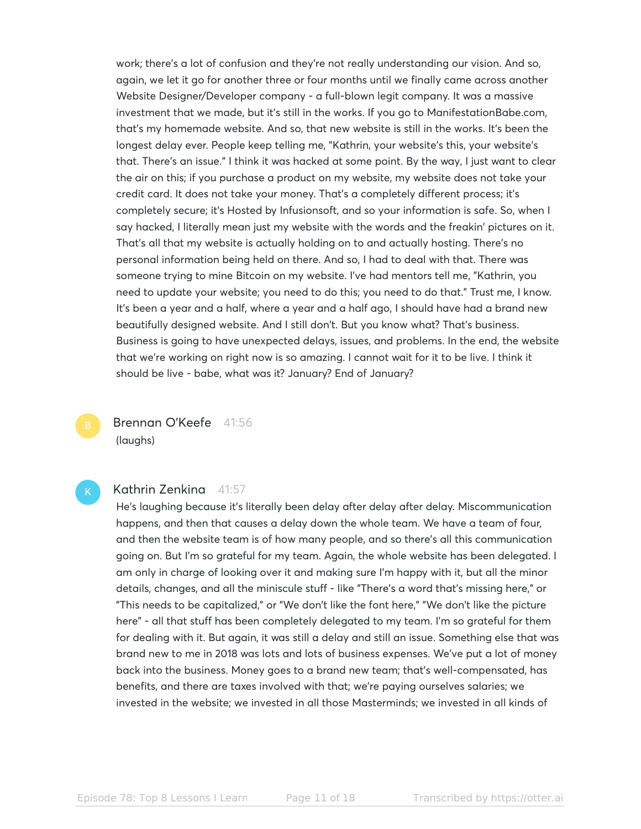work; there's a lot of confusion and they're not really understanding our vision. And so, again, we let it go for another three or four months until we finally came across another Website Designer/Developer company - a full-blown legit company. It was a massive investment that we made, but it's still in the works. If you go to ManifestationBabe.com, that's my homemade website. And so, that new website is still in the works. It's been the longest delay ever. People keep telling me, "Kathrin, your website's this, your website's that. There's an issue." I think it was hacked at some point. By the way, I just want to clear the air on this; if you purchase a product on my website, my website does not take your credit card. It does not take your money. That's a completely different process; it's completely secure; it's Hosted by Infusionsoft, and so your information is safe. So, when I say hacked, I literally mean just my website with the words and the freakin' pictures on it. That's all that my website is actually holding on to and actually hosting. There's no personal information being held on there. And so, I had to deal with that. There was someone trying to mine Bitcoin on my website. I've had mentors tell me, "Kathrin, you need to update your website; you need to do this; you need to do that." Trust me, I know. It's been a year and a half, where a year and a half ago, I should have had a brand new beautifully designed website. And I still don't. But you know what? That's business. Business is going to have unexpected delays, issues, and problems. In the end, the website that we're working on right now is so amazing. I cannot wait for it to be live. I think it should be live - babe, what was it? January? End of January?

Brennan O'Keefe 41:56 (laughs)

# Kathrin Zenkina 41:57

He's laughing because it's literally been delay after delay after delay. Miscommunication happens, and then that causes a delay down the whole team. We have a team of four, and then the website team is of how many people, and so there's all this communication going on. But I'm so grateful for my team. Again, the whole website has been delegated. I am only in charge of looking over it and making sure I'm happy with it, but all the minor details, changes, and all the miniscule stuff - like "There's a word that's missing here," or "This needs to be capitalized," or "We don't like the font here," "We don't like the picture here" - all that stuff has been completely delegated to my team. I'm so grateful for them for dealing with it. But again, it was still a delay and still an issue. Something else that was brand new to me in 2018 was lots and lots of business expenses. We've put a lot of money back into the business. Money goes to a brand new team; that's well-compensated, has benefits, and there are taxes involved with that; we're paying ourselves salaries; we invested in the website; we invested in all those Masterminds; we invested in all kinds of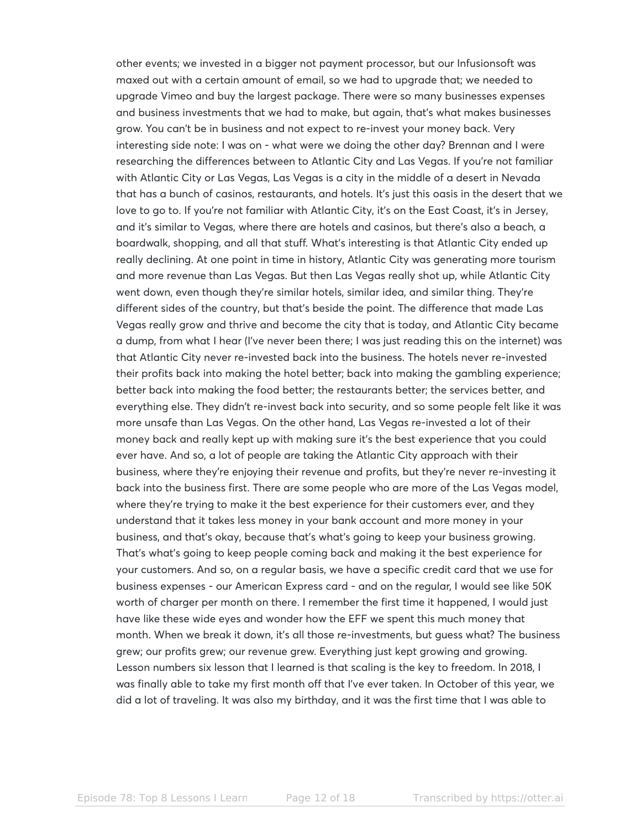other events; we invested in a bigger not payment processor, but our Infusionsoft was maxed out with a certain amount of email, so we had to upgrade that; we needed to upgrade Vimeo and buy the largest package. There were so many businesses expenses and business investments that we had to make, but again, that's what makes businesses grow. You can't be in business and not expect to re-invest your money back. Very interesting side note: I was on - what were we doing the other day? Brennan and I were researching the differences between to Atlantic City and Las Vegas. If you're not familiar with Atlantic City or Las Vegas, Las Vegas is a city in the middle of a desert in Nevada that has a bunch of casinos, restaurants, and hotels. It's just this oasis in the desert that we love to go to. If you're not familiar with Atlantic City, it's on the East Coast, it's in Jersey, and it's similar to Vegas, where there are hotels and casinos, but there's also a beach, a boardwalk, shopping, and all that stuff. What's interesting is that Atlantic City ended up really declining. At one point in time in history, Atlantic City was generating more tourism and more revenue than Las Vegas. But then Las Vegas really shot up, while Atlantic City went down, even though they're similar hotels, similar idea, and similar thing. They're different sides of the country, but that's beside the point. The difference that made Las Vegas really grow and thrive and become the city that is today, and Atlantic City became a dump, from what I hear (I've never been there; I was just reading this on the internet) was that Atlantic City never re-invested back into the business. The hotels never re-invested their profits back into making the hotel better; back into making the gambling experience; better back into making the food better; the restaurants better; the services better, and everything else. They didn't re-invest back into security, and so some people felt like it was more unsafe than Las Vegas. On the other hand, Las Vegas re-invested a lot of their money back and really kept up with making sure it's the best experience that you could ever have. And so, a lot of people are taking the Atlantic City approach with their business, where they're enjoying their revenue and profits, but they're never re-investing it back into the business first. There are some people who are more of the Las Vegas model, where they're trying to make it the best experience for their customers ever, and they understand that it takes less money in your bank account and more money in your business, and that's okay, because that's what's going to keep your business growing. That's what's going to keep people coming back and making it the best experience for your customers. And so, on a regular basis, we have a specific credit card that we use for business expenses - our American Express card - and on the regular, I would see like 50K worth of charger per month on there. I remember the first time it happened, I would just have like these wide eyes and wonder how the EFF we spent this much money that month. When we break it down, it's all those re-investments, but guess what? The business grew; our profits grew; our revenue grew. Everything just kept growing and growing. Lesson numbers six lesson that I learned is that scaling is the key to freedom. In 2018, I was finally able to take my first month off that I've ever taken. In October of this year, we did a lot of traveling. It was also my birthday, and it was the first time that I was able to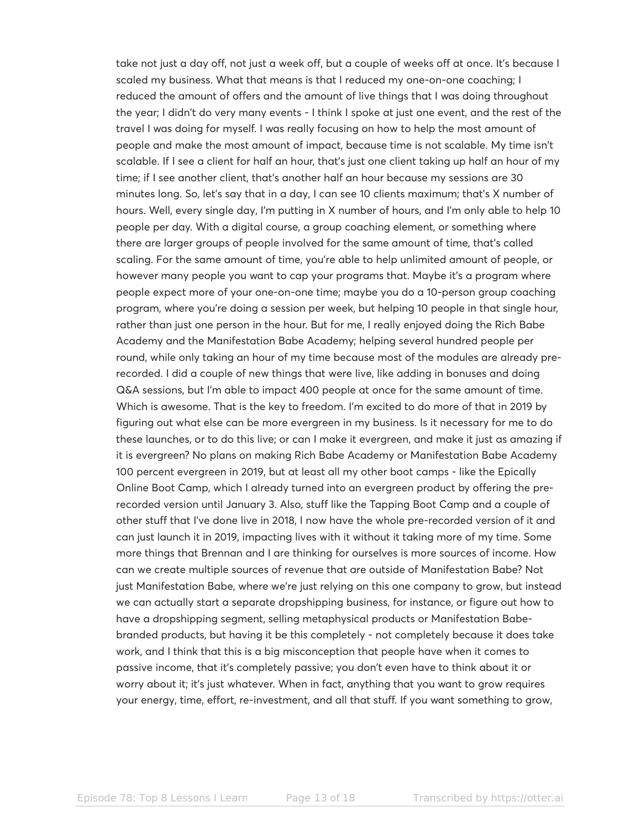take not just a day off, not just a week off, but a couple of weeks off at once. It's because I scaled my business. What that means is that I reduced my one-on-one coaching; I reduced the amount of offers and the amount of live things that I was doing throughout the year; I didn't do very many events - I think I spoke at just one event, and the rest of the travel I was doing for myself. I was really focusing on how to help the most amount of people and make the most amount of impact, because time is not scalable. My time isn't scalable. If I see a client for half an hour, that's just one client taking up half an hour of my time; if I see another client, that's another half an hour because my sessions are 30 minutes long. So, let's say that in a day, I can see 10 clients maximum; that's X number of hours. Well, every single day, I'm putting in X number of hours, and I'm only able to help 10 people per day. With a digital course, a group coaching element, or something where there are larger groups of people involved for the same amount of time, that's called scaling. For the same amount of time, you're able to help unlimited amount of people, or however many people you want to cap your programs that. Maybe it's a program where people expect more of your one-on-one time; maybe you do a 10-person group coaching program, where you're doing a session per week, but helping 10 people in that single hour, rather than just one person in the hour. But for me, I really enjoyed doing the Rich Babe Academy and the Manifestation Babe Academy; helping several hundred people per round, while only taking an hour of my time because most of the modules are already prerecorded. I did a couple of new things that were live, like adding in bonuses and doing Q&A sessions, but I'm able to impact 400 people at once for the same amount of time. Which is awesome. That is the key to freedom. I'm excited to do more of that in 2019 by figuring out what else can be more evergreen in my business. Is it necessary for me to do these launches, or to do this live; or can I make it evergreen, and make it just as amazing if it is evergreen? No plans on making Rich Babe Academy or Manifestation Babe Academy 100 percent evergreen in 2019, but at least all my other boot camps - like the Epically Online Boot Camp, which I already turned into an evergreen product by offering the prerecorded version until January 3. Also, stuff like the Tapping Boot Camp and a couple of other stuff that I've done live in 2018, I now have the whole pre-recorded version of it and can just launch it in 2019, impacting lives with it without it taking more of my time. Some more things that Brennan and I are thinking for ourselves is more sources of income. How can we create multiple sources of revenue that are outside of Manifestation Babe? Not just Manifestation Babe, where we're just relying on this one company to grow, but instead we can actually start a separate dropshipping business, for instance, or figure out how to have a dropshipping segment, selling metaphysical products or Manifestation Babebranded products, but having it be this completely - not completely because it does take work, and I think that this is a big misconception that people have when it comes to passive income, that it's completely passive; you don't even have to think about it or worry about it; it's just whatever. When in fact, anything that you want to grow requires your energy, time, effort, re-investment, and all that stuff. If you want something to grow,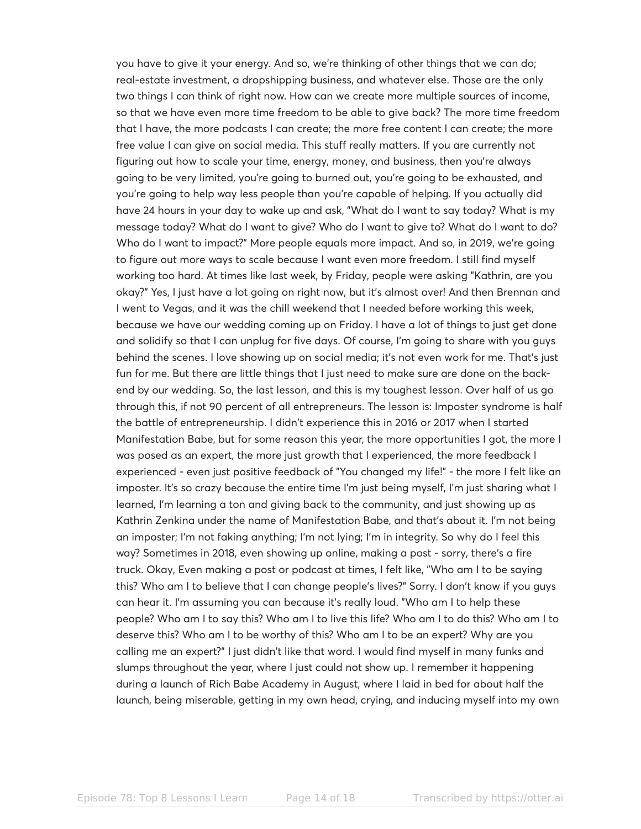you have to give it your energy. And so, we're thinking of other things that we can do; real-estate investment, a dropshipping business, and whatever else. Those are the only two things I can think of right now. How can we create more multiple sources of income, so that we have even more time freedom to be able to give back? The more time freedom that I have, the more podcasts I can create; the more free content I can create; the more free value I can give on social media. This stuff really matters. If you are currently not figuring out how to scale your time, energy, money, and business, then you're always going to be very limited, you're going to burned out, you're going to be exhausted, and you're going to help way less people than you're capable of helping. If you actually did have 24 hours in your day to wake up and ask, "What do I want to say today? What is my message today? What do I want to give? Who do I want to give to? What do I want to do? Who do I want to impact?" More people equals more impact. And so, in 2019, we're going to figure out more ways to scale because I want even more freedom. I still find myself working too hard. At times like last week, by Friday, people were asking "Kathrin, are you okay?" Yes, I just have a lot going on right now, but it's almost over! And then Brennan and I went to Vegas, and it was the chill weekend that I needed before working this week, because we have our wedding coming up on Friday. I have a lot of things to just get done and solidify so that I can unplug for five days. Of course, I'm going to share with you guys behind the scenes. I love showing up on social media; it's not even work for me. That's just fun for me. But there are little things that I just need to make sure are done on the backend by our wedding. So, the last lesson, and this is my toughest lesson. Over half of us go through this, if not 90 percent of all entrepreneurs. The lesson is: Imposter syndrome is half the battle of entrepreneurship. I didn't experience this in 2016 or 2017 when I started Manifestation Babe, but for some reason this year, the more opportunities I got, the more I was posed as an expert, the more just growth that I experienced, the more feedback I experienced - even just positive feedback of "You changed my life!" - the more I felt like an imposter. It's so crazy because the entire time I'm just being myself, I'm just sharing what I learned, I'm learning a ton and giving back to the community, and just showing up as Kathrin Zenkina under the name of Manifestation Babe, and that's about it. I'm not being an imposter; I'm not faking anything; I'm not lying; I'm in integrity. So why do I feel this way? Sometimes in 2018, even showing up online, making a post - sorry, there's a fire truck. Okay, Even making a post or podcast at times, I felt like, "Who am I to be saying this? Who am I to believe that I can change people's lives?" Sorry. I don't know if you guys can hear it. I'm assuming you can because it's really loud. "Who am I to help these people? Who am I to say this? Who am I to live this life? Who am I to do this? Who am I to deserve this? Who am I to be worthy of this? Who am I to be an expert? Why are you calling me an expert?" I just didn't like that word. I would find myself in many funks and slumps throughout the year, where I just could not show up. I remember it happening during a launch of Rich Babe Academy in August, where I laid in bed for about half the launch, being miserable, getting in my own head, crying, and inducing myself into my own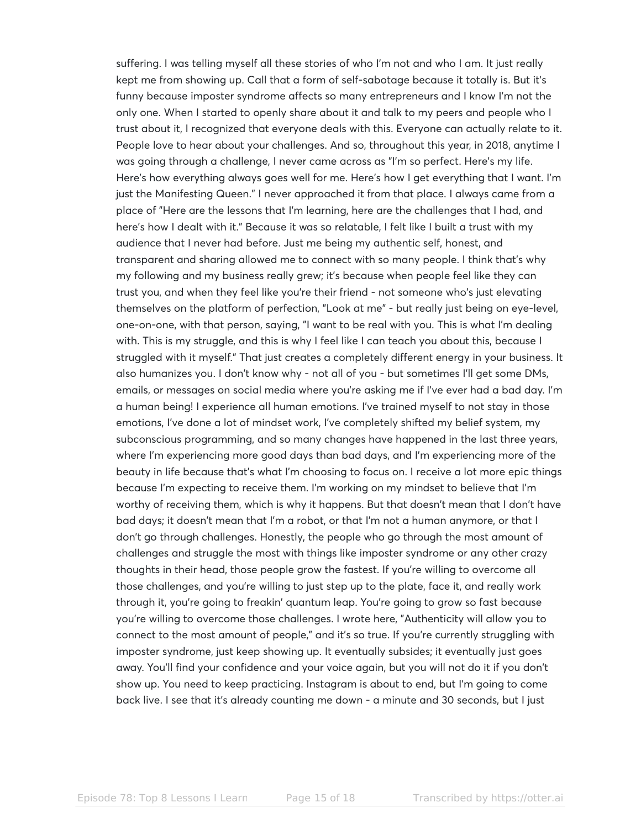suffering. I was telling myself all these stories of who I'm not and who I am. It just really kept me from showing up. Call that a form of self-sabotage because it totally is. But it's funny because imposter syndrome affects so many entrepreneurs and I know I'm not the only one. When I started to openly share about it and talk to my peers and people who I trust about it, I recognized that everyone deals with this. Everyone can actually relate to it. People love to hear about your challenges. And so, throughout this year, in 2018, anytime I was going through a challenge, I never came across as "I'm so perfect. Here's my life. Here's how everything always goes well for me. Here's how I get everything that I want. I'm just the Manifesting Queen." I never approached it from that place. I always came from a place of "Here are the lessons that I'm learning, here are the challenges that I had, and here's how I dealt with it." Because it was so relatable, I felt like I built a trust with my audience that I never had before. Just me being my authentic self, honest, and transparent and sharing allowed me to connect with so many people. I think that's why my following and my business really grew; it's because when people feel like they can trust you, and when they feel like you're their friend - not someone who's just elevating themselves on the platform of perfection, "Look at me" - but really just being on eye-level, one-on-one, with that person, saying, "I want to be real with you. This is what I'm dealing with. This is my struggle, and this is why I feel like I can teach you about this, because I struggled with it myself." That just creates a completely different energy in your business. It also humanizes you. I don't know why - not all of you - but sometimes I'll get some DMs, emails, or messages on social media where you're asking me if I've ever had a bad day. I'm a human being! I experience all human emotions. I've trained myself to not stay in those emotions, I've done a lot of mindset work, I've completely shifted my belief system, my subconscious programming, and so many changes have happened in the last three years, where I'm experiencing more good days than bad days, and I'm experiencing more of the beauty in life because that's what I'm choosing to focus on. I receive a lot more epic things because I'm expecting to receive them. I'm working on my mindset to believe that I'm worthy of receiving them, which is why it happens. But that doesn't mean that I don't have bad days; it doesn't mean that I'm a robot, or that I'm not a human anymore, or that I don't go through challenges. Honestly, the people who go through the most amount of challenges and struggle the most with things like imposter syndrome or any other crazy thoughts in their head, those people grow the fastest. If you're willing to overcome all those challenges, and you're willing to just step up to the plate, face it, and really work through it, you're going to freakin' quantum leap. You're going to grow so fast because you're willing to overcome those challenges. I wrote here, "Authenticity will allow you to connect to the most amount of people," and it's so true. If you're currently struggling with imposter syndrome, just keep showing up. It eventually subsides; it eventually just goes away. You'll find your confidence and your voice again, but you will not do it if you don't show up. You need to keep practicing. Instagram is about to end, but I'm going to come back live. I see that it's already counting me down - a minute and 30 seconds, but I just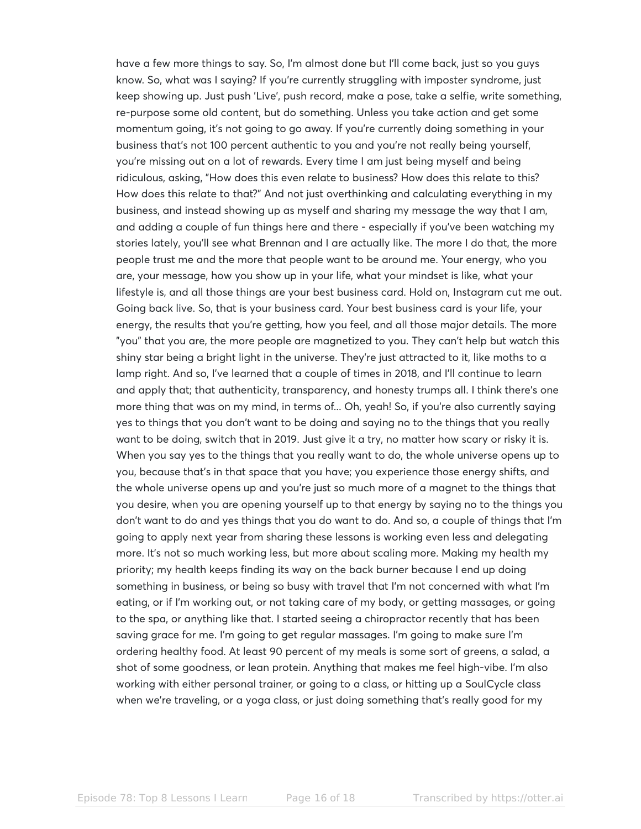have a few more things to say. So, I'm almost done but I'll come back, just so you guys know. So, what was I saying? If you're currently struggling with imposter syndrome, just keep showing up. Just push 'Live', push record, make a pose, take a selfie, write something, re-purpose some old content, but do something. Unless you take action and get some momentum going, it's not going to go away. If you're currently doing something in your business that's not 100 percent authentic to you and you're not really being yourself, you're missing out on a lot of rewards. Every time I am just being myself and being ridiculous, asking, "How does this even relate to business? How does this relate to this? How does this relate to that?" And not just overthinking and calculating everything in my business, and instead showing up as myself and sharing my message the way that I am, and adding a couple of fun things here and there - especially if you've been watching my stories lately, you'll see what Brennan and I are actually like. The more I do that, the more people trust me and the more that people want to be around me. Your energy, who you are, your message, how you show up in your life, what your mindset is like, what your lifestyle is, and all those things are your best business card. Hold on, Instagram cut me out. Going back live. So, that is your business card. Your best business card is your life, your energy, the results that you're getting, how you feel, and all those major details. The more "you" that you are, the more people are magnetized to you. They can't help but watch this shiny star being a bright light in the universe. They're just attracted to it, like moths to a lamp right. And so, I've learned that a couple of times in 2018, and I'll continue to learn and apply that; that authenticity, transparency, and honesty trumps all. I think there's one more thing that was on my mind, in terms of... Oh, yeah! So, if you're also currently saying yes to things that you don't want to be doing and saying no to the things that you really want to be doing, switch that in 2019. Just give it a try, no matter how scary or risky it is. When you say yes to the things that you really want to do, the whole universe opens up to you, because that's in that space that you have; you experience those energy shifts, and the whole universe opens up and you're just so much more of a magnet to the things that you desire, when you are opening yourself up to that energy by saying no to the things you don't want to do and yes things that you do want to do. And so, a couple of things that I'm going to apply next year from sharing these lessons is working even less and delegating more. It's not so much working less, but more about scaling more. Making my health my priority; my health keeps finding its way on the back burner because I end up doing something in business, or being so busy with travel that I'm not concerned with what I'm eating, or if I'm working out, or not taking care of my body, or getting massages, or going to the spa, or anything like that. I started seeing a chiropractor recently that has been saving grace for me. I'm going to get regular massages. I'm going to make sure I'm ordering healthy food. At least 90 percent of my meals is some sort of greens, a salad, a shot of some goodness, or lean protein. Anything that makes me feel high-vibe. I'm also working with either personal trainer, or going to a class, or hitting up a SoulCycle class when we're traveling, or a yoga class, or just doing something that's really good for my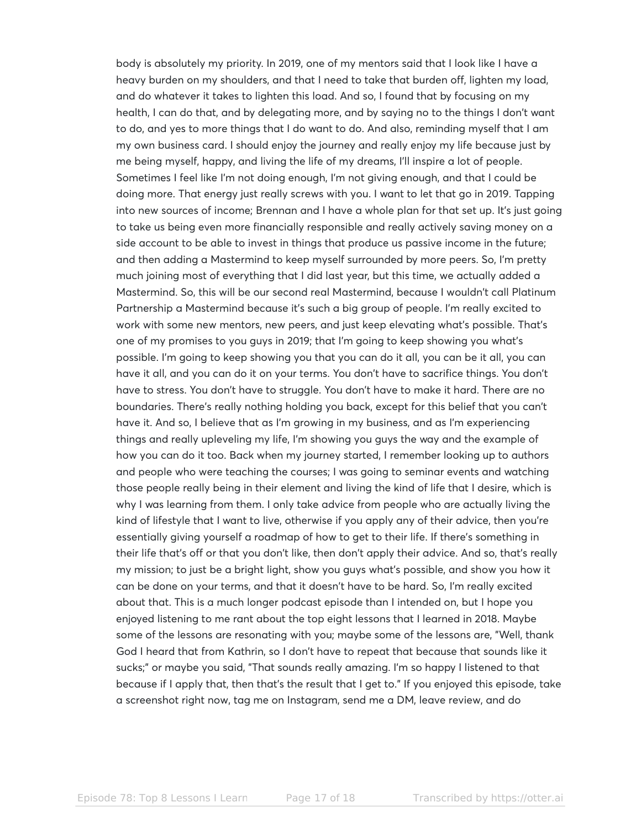body is absolutely my priority. In 2019, one of my mentors said that I look like I have a heavy burden on my shoulders, and that I need to take that burden off, lighten my load, and do whatever it takes to lighten this load. And so, I found that by focusing on my health, I can do that, and by delegating more, and by saying no to the things I don't want to do, and yes to more things that I do want to do. And also, reminding myself that I am my own business card. I should enjoy the journey and really enjoy my life because just by me being myself, happy, and living the life of my dreams, I'll inspire a lot of people. Sometimes I feel like I'm not doing enough, I'm not giving enough, and that I could be doing more. That energy just really screws with you. I want to let that go in 2019. Tapping into new sources of income; Brennan and I have a whole plan for that set up. It's just going to take us being even more financially responsible and really actively saving money on a side account to be able to invest in things that produce us passive income in the future; and then adding a Mastermind to keep myself surrounded by more peers. So, I'm pretty much joining most of everything that I did last year, but this time, we actually added a Mastermind. So, this will be our second real Mastermind, because I wouldn't call Platinum Partnership a Mastermind because it's such a big group of people. I'm really excited to work with some new mentors, new peers, and just keep elevating what's possible. That's one of my promises to you guys in 2019; that I'm going to keep showing you what's possible. I'm going to keep showing you that you can do it all, you can be it all, you can have it all, and you can do it on your terms. You don't have to sacrifice things. You don't have to stress. You don't have to struggle. You don't have to make it hard. There are no boundaries. There's really nothing holding you back, except for this belief that you can't have it. And so, I believe that as I'm growing in my business, and as I'm experiencing things and really upleveling my life, I'm showing you guys the way and the example of how you can do it too. Back when my journey started, I remember looking up to authors and people who were teaching the courses; I was going to seminar events and watching those people really being in their element and living the kind of life that I desire, which is why I was learning from them. I only take advice from people who are actually living the kind of lifestyle that I want to live, otherwise if you apply any of their advice, then you're essentially giving yourself a roadmap of how to get to their life. If there's something in their life that's off or that you don't like, then don't apply their advice. And so, that's really my mission; to just be a bright light, show you guys what's possible, and show you how it can be done on your terms, and that it doesn't have to be hard. So, I'm really excited about that. This is a much longer podcast episode than I intended on, but I hope you enjoyed listening to me rant about the top eight lessons that I learned in 2018. Maybe some of the lessons are resonating with you; maybe some of the lessons are, "Well, thank God I heard that from Kathrin, so I don't have to repeat that because that sounds like it sucks;" or maybe you said, "That sounds really amazing. I'm so happy I listened to that because if I apply that, then that's the result that I get to." If you enjoyed this episode, take a screenshot right now, tag me on Instagram, send me a DM, leave review, and do